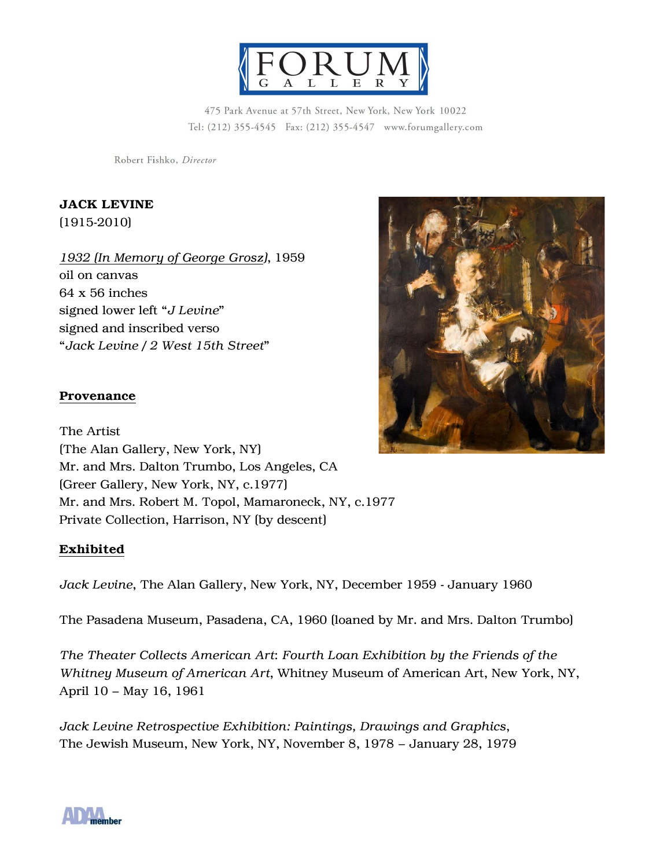

475 Park Avenue at 57th Street, New York, New York 10022 Tel: (212) 355-4545 Fax: (212) 355-4547 www.forumgallery.com

Robert Fishko, Director

JACK LEVINE (1915-2010)

*1932 (In Memory of George Grosz)*, 1959 oil on canvas 64 x 56 inches signed lower left "*J Levine*" signed and inscribed verso "*Jack Levine / 2 West 15th Street*"

## **Provenance**

The Artist (The Alan Gallery, New York, NY) Mr. and Mrs. Dalton Trumbo, Los Angeles, CA (Greer Gallery, New York, NY, c.1977) Mr. and Mrs. Robert M. Topol, Mamaroneck, NY, c.1977 Private Collection, Harrison, NY (by descent)

## Exhibited

*Jack Levine*, The Alan Gallery, New York, NY, December 1959 - January 1960

The Pasadena Museum, Pasadena, CA, 1960 (loaned by Mr. and Mrs. Dalton Trumbo)

*The Theater Collects American Art*: *Fourth Loan Exhibition by the Friends of the Whitney Museum of American Art*, Whitney Museum of American Art, New York, NY, April 10 – May 16, 1961

*Jack Levine Retrospective Exhibition: Paintings, Drawings and Graphics*, The Jewish Museum, New York, NY, November 8, 1978 – January 28, 1979



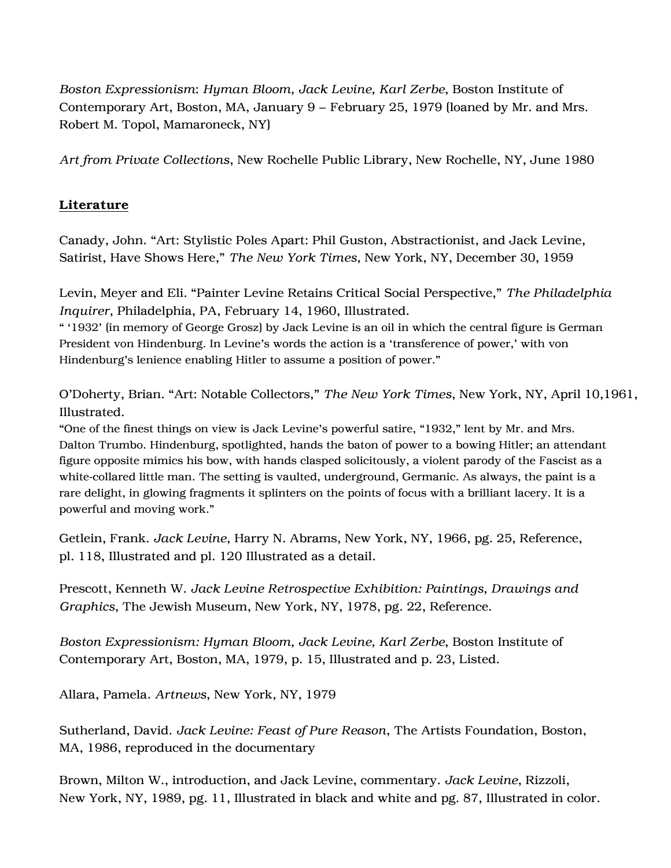*Boston Expressionism*: *Hyman Bloom, Jack Levine, Karl Zerbe*, Boston Institute of Contemporary Art, Boston, MA, January 9 – February 25, 1979 (loaned by Mr. and Mrs. Robert M. Topol, Mamaroneck, NY)

*Art from Private Collections*, New Rochelle Public Library, New Rochelle, NY, June 1980

## Literature

Canady, John. "Art: Stylistic Poles Apart: Phil Guston, Abstractionist, and Jack Levine, Satirist, Have Shows Here," *The New York Times*, New York, NY, December 30, 1959

Levin, Meyer and Eli. "Painter Levine Retains Critical Social Perspective," *The Philadelphia Inquirer*, Philadelphia, PA, February 14, 1960, Illustrated.

" '1932' (in memory of George Grosz) by Jack Levine is an oil in which the central figure is German President von Hindenburg. In Levine's words the action is a 'transference of power,' with von Hindenburg's lenience enabling Hitler to assume a position of power."

O'Doherty, Brian. "Art: Notable Collectors," *The New York Times*, New York, NY, April 10,1961, Illustrated.

"One of the finest things on view is Jack Levine's powerful satire, "1932," lent by Mr. and Mrs. Dalton Trumbo. Hindenburg, spotlighted, hands the baton of power to a bowing Hitler; an attendant figure opposite mimics his bow, with hands clasped solicitously, a violent parody of the Fascist as a white-collared little man. The setting is vaulted, underground, Germanic. As always, the paint is a rare delight, in glowing fragments it splinters on the points of focus with a brilliant lacery. It is a powerful and moving work."

Getlein, Frank. *Jack Levine*, Harry N. Abrams, New York, NY, 1966, pg. 25, Reference, pl. 118, Illustrated and pl. 120 Illustrated as a detail.

Prescott, Kenneth W. *Jack Levine Retrospective Exhibition: Paintings, Drawings and Graphics*, The Jewish Museum, New York, NY, 1978, pg. 22, Reference.

*Boston Expressionism: Hyman Bloom, Jack Levine, Karl Zerbe*, Boston Institute of Contemporary Art, Boston, MA, 1979, p. 15, Illustrated and p. 23, Listed.

Allara, Pamela. *Artnews*, New York, NY, 1979

Sutherland, David. *Jack Levine: Feast of Pure Reason*, The Artists Foundation, Boston, MA, 1986, reproduced in the documentary

Brown, Milton W., introduction, and Jack Levine, commentary. *Jack Levine*, Rizzoli, New York, NY, 1989, pg. 11, Illustrated in black and white and pg. 87, Illustrated in color.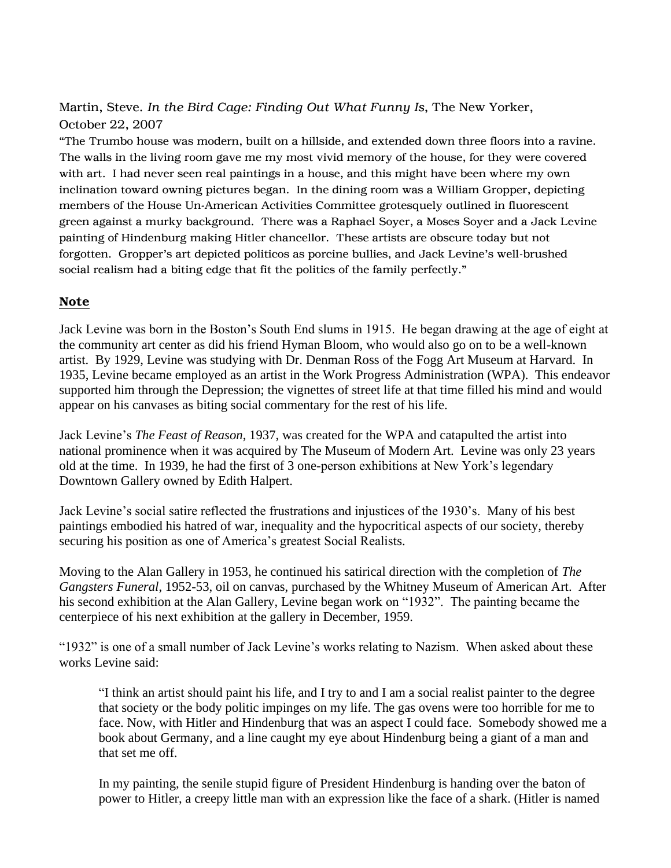Martin, Steve. *In the Bird Cage: Finding Out What Funny Is*, The New Yorker, October 22, 2007

"The Trumbo house was modern, built on a hillside, and extended down three floors into a ravine. The walls in the living room gave me my most vivid memory of the house, for they were covered with art. I had never seen real paintings in a house, and this might have been where my own inclination toward owning pictures began. In the dining room was a William Gropper, depicting members of the House Un-American Activities Committee grotesquely outlined in fluorescent green against a murky background. There was a Raphael Soyer, a Moses Soyer and a Jack Levine painting of Hindenburg making Hitler chancellor. These artists are obscure today but not forgotten. Gropper's art depicted politicos as porcine bullies, and Jack Levine's well-brushed social realism had a biting edge that fit the politics of the family perfectly."

## Note

Jack Levine was born in the Boston's South End slums in 1915. He began drawing at the age of eight at the community art center as did his friend Hyman Bloom, who would also go on to be a well-known artist. By 1929, Levine was studying with Dr. Denman Ross of the Fogg Art Museum at Harvard. In 1935, Levine became employed as an artist in the Work Progress Administration (WPA). This endeavor supported him through the Depression; the vignettes of street life at that time filled his mind and would appear on his canvases as biting social commentary for the rest of his life.

Jack Levine's *The Feast of Reason*, 1937, was created for the WPA and catapulted the artist into national prominence when it was acquired by The Museum of Modern Art. Levine was only 23 years old at the time. In 1939, he had the first of 3 one-person exhibitions at New York's legendary Downtown Gallery owned by Edith Halpert.

Jack Levine's social satire reflected the frustrations and injustices of the 1930's. Many of his best paintings embodied his hatred of war, inequality and the hypocritical aspects of our society, thereby securing his position as one of America's greatest Social Realists.

Moving to the Alan Gallery in 1953, he continued his satirical direction with the completion of *The Gangsters Funeral*, 1952-53, oil on canvas, purchased by the Whitney Museum of American Art. After his second exhibition at the Alan Gallery, Levine began work on "1932". The painting became the centerpiece of his next exhibition at the gallery in December, 1959.

"1932" is one of a small number of Jack Levine's works relating to Nazism. When asked about these works Levine said:

"I think an artist should paint his life, and I try to and I am a social realist painter to the degree that society or the body politic impinges on my life. The gas ovens were too horrible for me to face. Now, with Hitler and Hindenburg that was an aspect I could face. Somebody showed me a book about Germany, and a line caught my eye about Hindenburg being a giant of a man and that set me off.

In my painting, the senile stupid figure of President Hindenburg is handing over the baton of power to Hitler, a creepy little man with an expression like the face of a shark. (Hitler is named